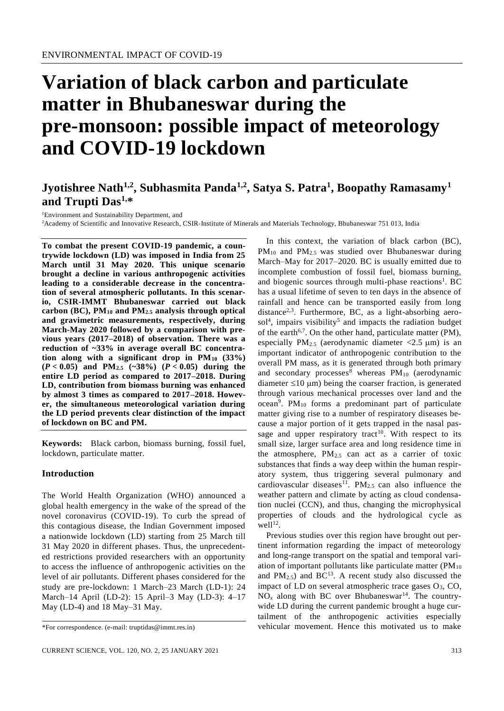# **Variation of black carbon and particulate matter in Bhubaneswar during the pre-monsoon: possible impact of meteorology and COVID-19 lockdown**

# **Jyotishree Nath1,2, Subhasmita Panda1,2 , Satya S. Patra<sup>1</sup> , Boopathy Ramasamy<sup>1</sup> and Trupti Das1,\***

<sup>1</sup>Environment and Sustainability Department, and

<sup>2</sup>Academy of Scientific and Innovative Research, CSIR-Institute of Minerals and Materials Technology, Bhubaneswar 751 013, India

**To combat the present COVID-19 pandemic, a countrywide lockdown (LD) was imposed in India from 25 March until 31 May 2020. This unique scenario brought a decline in various anthropogenic activities leading to a considerable decrease in the concentration of several atmospheric pollutants. In this scenario, CSIR-IMMT Bhubaneswar carried out black carbon (BC), PM<sup>10</sup> and PM2.5 analysis through optical and gravimetric measurements, respectively, during March-May 2020 followed by a comparison with previous years (2017–2018) of observation. There was a reduction of ~33% in average overall BC concentration along with a significant drop in PM<sup>10</sup> (33%) (***P* **< 0.05) and PM2.5 (~38%) (***P* **< 0.05) during the entire LD period as compared to 2017–2018. During LD, contribution from biomass burning was enhanced by almost 3 times as compared to 2017–2018. However, the simultaneous meteorological variation during the LD period prevents clear distinction of the impact of lockdown on BC and PM.**

**Keywords:** Black carbon, biomass burning, fossil fuel, lockdown, particulate matter.

#### **Introduction**

The World Health Organization (WHO) announced a global health emergency in the wake of the spread of the novel coronavirus (COVID-19). To curb the spread of this contagious disease, the Indian Government imposed a nationwide lockdown (LD) starting from 25 March till 31 May 2020 in different phases. Thus, the unprecedented restrictions provided researchers with an opportunity to access the influence of anthropogenic activities on the level of air pollutants. Different phases considered for the study are pre-lockdown: 1 March–23 March (LD-1): 24 March–14 April (LD-2): 15 April–3 May (LD-3): 4–17 May (LD-4) and 18 May–31 May.

In this context, the variation of black carbon (BC),  $PM_{10}$  and  $PM_{2.5}$  was studied over Bhubaneswar during March–May for 2017–2020. BC is usually emitted due to incomplete combustion of fossil fuel, biomass burning, and biogenic sources through multi-phase reactions<sup>1</sup>. BC has a usual lifetime of seven to ten days in the absence of rainfall and hence can be transported easily from long distance<sup>2,3</sup>. Furthermore, BC, as a light-absorbing aerosol<sup>4</sup>, impairs visibility<sup>5</sup> and impacts the radiation budget of the earth<sup>6,7</sup>. On the other hand, particulate matter (PM), especially PM<sub>2.5</sub> (aerodynamic diameter  $\langle 2.5 \text{ }\mu \text{m} \rangle$  is an important indicator of anthropogenic contribution to the overall PM mass, as it is generated through both primary and secondary processes<sup>8</sup> whereas  $PM_{10}$  (aerodynamic diameter  $\leq 10 \mu m$ ) being the coarser fraction, is generated through various mechanical processes over land and the ocean<sup>9</sup>. PM<sub>10</sub> forms a predominant part of particulate matter giving rise to a number of respiratory diseases because a major portion of it gets trapped in the nasal passage and upper respiratory tract<sup>10</sup>. With respect to its small size, larger surface area and long residence time in the atmosphere,  $PM_{2.5}$  can act as a carrier of toxic substances that finds a way deep within the human respiratory system, thus triggering several pulmonary and cardiovascular diseases<sup>11</sup>. PM<sub>2.5</sub> can also influence the weather pattern and climate by acting as cloud condensation nuclei (CCN), and thus, changing the microphysical properties of clouds and the hydrological cycle as well<sup>12</sup>.

Previous studies over this region have brought out pertinent information regarding the impact of meteorology and long-range transport on the spatial and temporal variation of important pollutants like particulate matter  $(PM_{10})$ and  $PM_{2.5}$ ) and  $BC^{13}$ . A recent study also discussed the impact of LD on several atmospheric trace gases  $O<sub>3</sub>$ , CO,  $NO<sub>x</sub>$  along with BC over Bhubaneswar<sup>14</sup>. The countrywide LD during the current pandemic brought a huge curtailment of the anthropogenic activities especially vehicular movement. Hence this motivated us to make

<sup>\*</sup>For correspondence. (e-mail: truptidas@immt.res.in)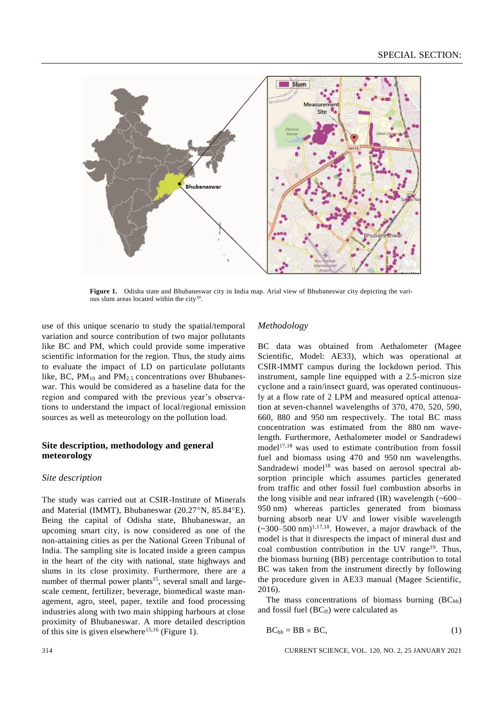

**Figure 1.** Odisha state and Bhubaneswar city in India map. Arial view of Bhubaneswar city depicting the various slum areas located within the city<sup>39</sup>.

use of this unique scenario to study the spatial/temporal variation and source contribution of two major pollutants like BC and PM, which could provide some imperative scientific information for the region. Thus, the study aims to evaluate the impact of LD on particulate pollutants like, BC,  $PM_{10}$  and  $PM_{2.5}$  concentrations over Bhubaneswar. This would be considered as a baseline data for the region and compared with the previous year's observations to understand the impact of local/regional emission sources as well as meteorology on the pollution load.

## **Site description, methodology and general meteorology**

#### *Site description*

The study was carried out at CSIR-Institute of Minerals and Material (IMMT), Bhubaneswar (20.27°N, 85.84°E). Being the capital of Odisha state, Bhubaneswar, an upcoming smart city, is now considered as one of the non-attaining cities as per the National Green Tribunal of India. The sampling site is located inside a green campus in the heart of the city with national, state highways and slums in its close proximity. Furthermore, there are a number of thermal power plants<sup>15</sup>, several small and largescale cement, fertilizer, beverage, biomedical waste management, agro, steel, paper, textile and food processing industries along with two main shipping harbours at close proximity of Bhubaneswar. A more detailed description of this site is given elsewhere<sup>15,16</sup> (Figure 1).

### *Methodology*

BC data was obtained from Aethalometer (Magee Scientific, Model: AE33), which was operational at CSIR-IMMT campus during the lockdown period. This instrument, sample line equipped with a 2.5-micron size cyclone and a rain/insect guard, was operated continuously at a flow rate of 2 LPM and measured optical attenuation at seven-channel wavelengths of 370, 470, 520, 590, 660, 880 and 950 nm respectively. The total BC mass concentration was estimated from the 880 nm wavelength. Furthermore, Aethalometer model or Sandradewi model<sup>17,18</sup> was used to estimate contribution from fossil fuel and biomass using 470 and 950 nm wavelengths. Sandradewi model<sup>18</sup> was based on aerosol spectral absorption principle which assumes particles generated from traffic and other fossil fuel combustion absorbs in the long visible and near infrared (IR) wavelength  $(\sim 600 -$ 950 nm) whereas particles generated from biomass burning absorb near UV and lower visible wavelength  $(-300-500 \text{ nm})$ <sup>1,17,18</sup>. However, a major drawback of the model is that it disrespects the impact of mineral dust and coal combustion contribution in the UV range<sup>19</sup>. Thus, the biomass burning (BB) percentage contribution to total BC was taken from the instrument directly by following the procedure given in AE33 manual (Magee Scientific, 2016).

The mass concentrations of biomass burning  $(BC_{bb})$ and fossil fuel  $(BC<sub>ff</sub>)$  were calculated as

$$
BC_{bb} = BB \times BC,
$$
 (1)

314 CURRENT SCIENCE, VOL. 120, NO. 2, 25 JANUARY 2021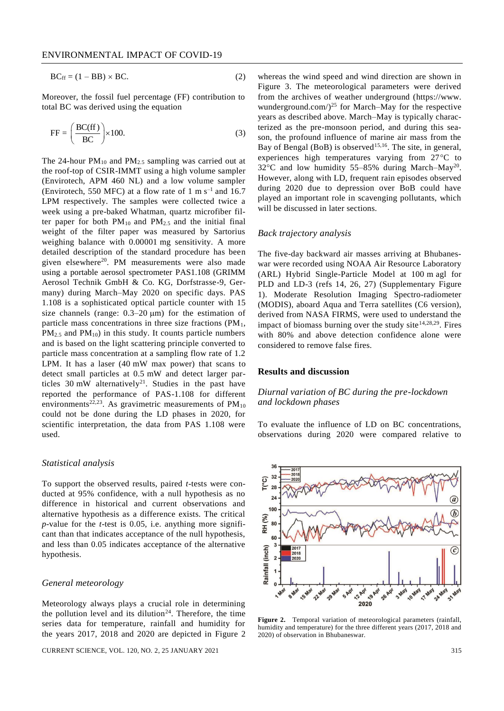$$
BC_{\rm ff} = (1 - BB) \times BC. \tag{2}
$$

Moreover, the fossil fuel percentage (FF) contribution to total BC was derived using the equation

$$
FF = \left(\frac{BC(ff)}{BC}\right) \times 100.
$$
 (3)

The 24-hour  $PM_{10}$  and  $PM_{2.5}$  sampling was carried out at the roof-top of CSIR-IMMT using a high volume sampler (Envirotech, APM 460 NL) and a low volume sampler (Envirotech, 550 MFC) at a flow rate of 1 m  $s^{-1}$  and 16.7 LPM respectively. The samples were collected twice a week using a pre-baked Whatman, quartz microfiber filter paper for both  $PM_{10}$  and  $PM_{2.5}$  and the initial final weight of the filter paper was measured by Sartorius weighing balance with 0.00001 mg sensitivity. A more detailed description of the standard procedure has been given elsewhere<sup>20</sup>. PM measurements were also made using a portable aerosol spectrometer PAS1.108 (GRIMM Aerosol Technik GmbH & Co. KG, Dorfstrasse-9, Germany) during March–May 2020 on specific days. PAS 1.108 is a sophisticated optical particle counter with 15 size channels (range:  $0.3-20 \mu m$ ) for the estimation of particle mass concentrations in three size fractions (PM1,  $PM_{2.5}$  and  $PM_{10}$ ) in this study. It counts particle numbers and is based on the light scattering principle converted to particle mass concentration at a sampling flow rate of 1.2 LPM. It has a laser (40 mW max power) that scans to detect small particles at 0.5 mW and detect larger particles 30 mW alternatively<sup>21</sup>. Studies in the past have reported the performance of PAS-1.108 for different environments<sup>22,23</sup>. As gravimetric measurements of  $PM_{10}$ could not be done during the LD phases in 2020, for scientific interpretation, the data from PAS 1.108 were used.

#### *Statistical analysis*

To support the observed results, paired *t*-tests were conducted at 95% confidence, with a null hypothesis as no difference in historical and current observations and alternative hypothesis as a difference exists. The critical *p*-value for the *t*-test is 0.05, i.e. anything more significant than that indicates acceptance of the null hypothesis, and less than 0.05 indicates acceptance of the alternative hypothesis.

#### *General meteorology*

Meteorology always plays a crucial role in determining the pollution level and its dilution<sup>24</sup>. Therefore, the time series data for temperature, rainfall and humidity for the years 2017, 2018 and 2020 are depicted in Figure 2

CURRENT SCIENCE, VOL. 120, NO. 2, 25 JANUARY 2021 315

whereas the wind speed and wind direction are shown in Figure 3. The meteorological parameters were derived from the archives of weather underground [\(https://www.](https://www.wunderground.com/) wunderground.com/ $)^{25}$  for March–May for the respective years as described above. March–May is typically characterized as the pre-monsoon period, and during this season, the profound influence of marine air mass from the Bay of Bengal (BoB) is observed<sup>15,16</sup>. The site, in general, experiences high temperatures varying from  $27^{\circ}$ C to 32°C and low humidity 55-85% during March-May<sup>20</sup>. However, along with LD, frequent rain episodes observed during 2020 due to depression over BoB could have played an important role in scavenging pollutants, which will be discussed in later sections.

#### *Back trajectory analysis*

The five-day backward air masses arriving at Bhubaneswar were recorded using NOAA Air Resource Laboratory (ARL) Hybrid Single-Particle Model at 100 m agl for PLD and LD-3 (refs 14, 26, 27) [\(Supplementary Figure](https://www.currentscience.ac.in/Volumes/120/01/0313-suppl.pdf) [1\)](https://www.currentscience.ac.in/Volumes/120/01/0313-suppl.pdf). Moderate Resolution Imaging Spectro-radiometer (MODIS), aboard Aqua and Terra satellites (C6 version), derived from NASA FIRMS, were used to understand the impact of biomass burning over the study site  $14,28,29$ . Fires with 80% and above detection confidence alone were considered to remove false fires.

#### **Results and discussion**

# *Diurnal variation of BC during the pre-lockdown and lockdown phases*

To evaluate the influence of LD on BC concentrations, observations during 2020 were compared relative to



**Figure 2.** Temporal variation of meteorological parameters (rainfall, humidity and temperature) for the three different years (2017, 2018 and 2020) of observation in Bhubaneswar.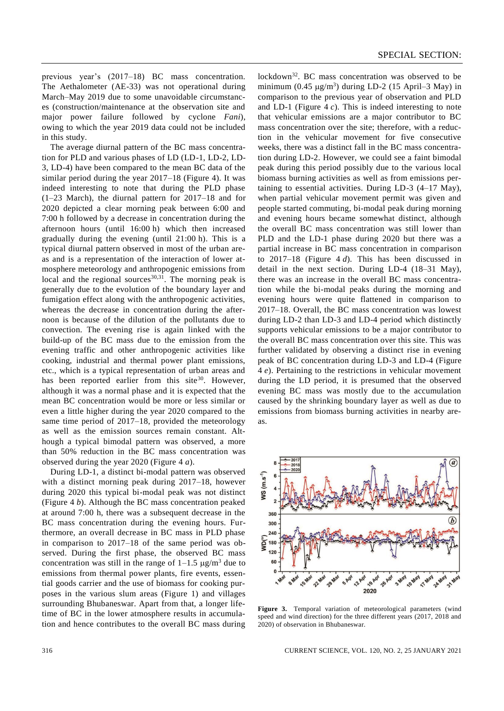previous year's (2017–18) BC mass concentration. The Aethalometer (AE-33) was not operational during March–May 2019 due to some unavoidable circumstances (construction/maintenance at the observation site and major power failure followed by cyclone *Fani*), owing to which the year 2019 data could not be included in this study.

The average diurnal pattern of the BC mass concentration for PLD and various phases of LD (LD-1, LD-2, LD-3, LD-4) have been compared to the mean BC data of the similar period during the year 2017–18 (Figure 4). It was indeed interesting to note that during the PLD phase (1–23 March), the diurnal pattern for 2017–18 and for 2020 depicted a clear morning peak between 6:00 and 7:00 h followed by a decrease in concentration during the afternoon hours (until 16:00 h) which then increased gradually during the evening (until 21:00 h). This is a typical diurnal pattern observed in most of the urban areas and is a representation of the interaction of lower atmosphere meteorology and anthropogenic emissions from local and the regional sources $30,31$ . The morning peak is generally due to the evolution of the boundary layer and fumigation effect along with the anthropogenic activities, whereas the decrease in concentration during the afternoon is because of the dilution of the pollutants due to convection. The evening rise is again linked with the build-up of the BC mass due to the emission from the evening traffic and other anthropogenic activities like cooking, industrial and thermal power plant emissions, etc., which is a typical representation of urban areas and has been reported earlier from this site<sup>30</sup>. However, although it was a normal phase and it is expected that the mean BC concentration would be more or less similar or even a little higher during the year 2020 compared to the same time period of 2017–18, provided the meteorology as well as the emission sources remain constant. Although a typical bimodal pattern was observed, a more than 50% reduction in the BC mass concentration was observed during the year 2020 (Figure 4 *a*).

During LD-1, a distinct bi-modal pattern was observed with a distinct morning peak during 2017–18, however during 2020 this typical bi-modal peak was not distinct (Figure 4 *b*). Although the BC mass concentration peaked at around 7:00 h, there was a subsequent decrease in the BC mass concentration during the evening hours. Furthermore, an overall decrease in BC mass in PLD phase in comparison to 2017–18 of the same period was observed. During the first phase, the observed BC mass concentration was still in the range of  $1-1.5 \mu g/m^3$  due to emissions from thermal power plants, fire events, essential goods carrier and the use of biomass for cooking purposes in the various slum areas (Figure 1) and villages surrounding Bhubaneswar. Apart from that, a longer lifetime of BC in the lower atmosphere results in accumulation and hence contributes to the overall BC mass during

lockdown<sup>32</sup>. BC mass concentration was observed to be minimum  $(0.45 \text{ }\mu\text{g/m}^3)$  during LD-2 (15 April–3 May) in comparison to the previous year of observation and PLD and LD-1 (Figure 4 *c*). This is indeed interesting to note that vehicular emissions are a major contributor to BC mass concentration over the site; therefore, with a reduction in the vehicular movement for five consecutive weeks, there was a distinct fall in the BC mass concentration during LD-2. However, we could see a faint bimodal peak during this period possibly due to the various local biomass burning activities as well as from emissions pertaining to essential activities. During LD-3 (4–17 May), when partial vehicular movement permit was given and people started commuting, bi-modal peak during morning and evening hours became somewhat distinct, although the overall BC mass concentration was still lower than PLD and the LD-1 phase during 2020 but there was a partial increase in BC mass concentration in comparison to 2017–18 (Figure 4 *d*). This has been discussed in detail in the next section. During LD-4 (18–31 May), there was an increase in the overall BC mass concentration while the bi-modal peaks during the morning and evening hours were quite flattened in comparison to 2017–18. Overall, the BC mass concentration was lowest during LD-2 than LD-3 and LD-4 period which distinctly supports vehicular emissions to be a major contributor to the overall BC mass concentration over this site. This was further validated by observing a distinct rise in evening peak of BC concentration during LD-3 and LD-4 (Figure 4 *e*). Pertaining to the restrictions in vehicular movement during the LD period, it is presumed that the observed evening BC mass was mostly due to the accumulation caused by the shrinking boundary layer as well as due to emissions from biomass burning activities in nearby areas.



**Figure 3.** Temporal variation of meteorological parameters (wind speed and wind direction) for the three different years (2017, 2018 and 2020) of observation in Bhubaneswar.

316 CURRENT SCIENCE, VOL. 120, NO. 2, 25 JANUARY 2021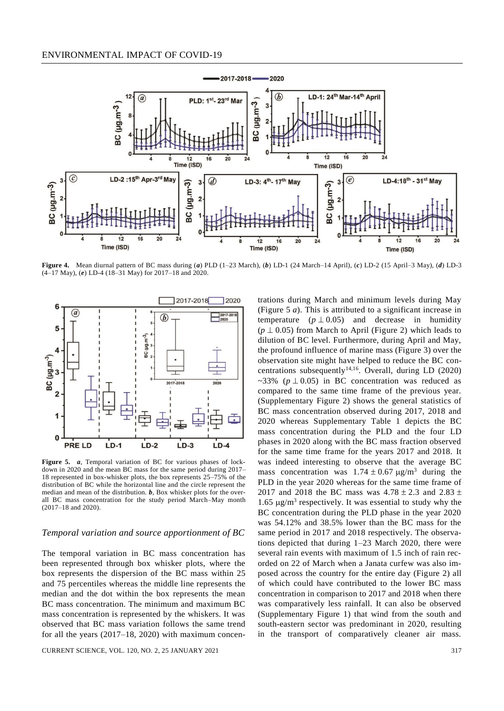

**Figure 4.** Mean diurnal pattern of BC mass during (*a*) PLD (1–23 March), (*b*) LD-1 (24 March–14 April), (*c*) LD-2 (15 April–3 May), (*d*) LD-3 (4–17 May), (*e*) LD-4 (18–31 May) for 2017–18 and 2020.



**Figure 5.** *a*, Temporal variation of BC for various phases of lockdown in 2020 and the mean BC mass for the same period during 2017– 18 represented in box-whisker plots, the box represents 25–75% of the distribution of BC while the horizontal line and the circle represent the median and mean of the distribution. *b*, Box whisker plots for the overall BC mass concentration for the study period March–May month (2017–18 and 2020).

#### *Temporal variation and source apportionment of BC*

The temporal variation in BC mass concentration has been represented through box whisker plots, where the box represents the dispersion of the BC mass within 25 and 75 percentiles whereas the middle line represents the median and the dot within the box represents the mean BC mass concentration. The minimum and maximum BC mass concentration is represented by the whiskers. It was observed that BC mass variation follows the same trend for all the years (2017–18, 2020) with maximum concen-

CURRENT SCIENCE, VOL. 120, NO. 2, 25 JANUARY 2021 317

trations during March and minimum levels during May (Figure 5 *a*). This is attributed to a significant increase in temperature  $(p \perp 0.05)$  and decrease in humidity ( $p \perp 0.05$ ) from March to April (Figure 2) which leads to dilution of BC level. Furthermore, during April and May, the profound influence of marine mass (Figure 3) over the observation site might have helped to reduce the BC concentrations subsequently<sup>14,16</sup>. Overall, during LD (2020) ~33% ( $p \perp 0.05$ ) in BC concentration was reduced as compared to the same time frame of the previous year. [\(Supplementary Figure 2\)](https://www.currentscience.ac.in/Volumes/120/01/0313-suppl.pdf) shows the general statistics of BC mass concentration observed during 2017, 2018 and 2020 whereas [Supplementary Table 1](https://www.currentscience.ac.in/Volumes/120/01/0313-suppl.pdf) depicts the BC mass concentration during the PLD and the four LD phases in 2020 along with the BC mass fraction observed for the same time frame for the years 2017 and 2018. It was indeed interesting to observe that the average BC mass concentration was  $1.74 \pm 0.67$   $\mu$ g/m<sup>3</sup> during the PLD in the year 2020 whereas for the same time frame of 2017 and 2018 the BC mass was  $4.78 \pm 2.3$  and  $2.83 \pm$ 1.65  $\mu$ g/m<sup>3</sup> respectively. It was essential to study why the BC concentration during the PLD phase in the year 2020 was 54.12% and 38.5% lower than the BC mass for the same period in 2017 and 2018 respectively. The observations depicted that during 1–23 March 2020, there were several rain events with maximum of 1.5 inch of rain recorded on 22 of March when a Janata curfew was also imposed across the country for the entire day (Figure 2) all of which could have contributed to the lower BC mass concentration in comparison to 2017 and 2018 when there was comparatively less rainfall. It can also be observed [\(Supplementary Figure 1\)](https://www.currentscience.ac.in/Volumes/120/01/0313-suppl.pdf) that wind from the south and south-eastern sector was predominant in 2020, resulting in the transport of comparatively cleaner air mass.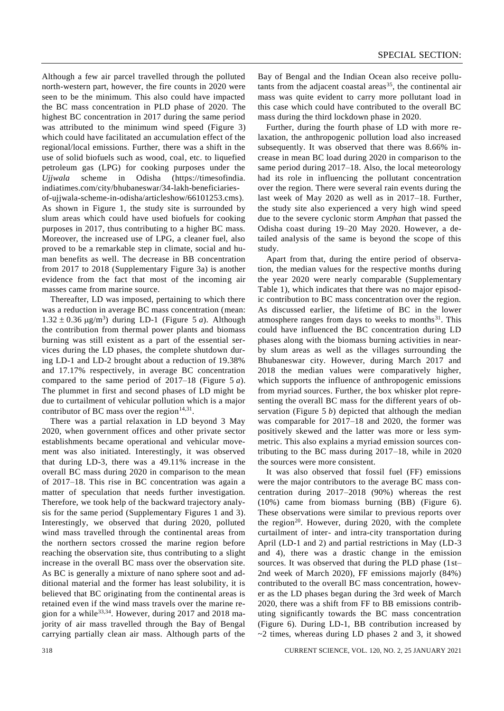Although a few air parcel travelled through the polluted north-western part, however, the fire counts in 2020 were seen to be the minimum. This also could have impacted the BC mass concentration in PLD phase of 2020. The highest BC concentration in 2017 during the same period was attributed to the minimum wind speed (Figure 3) which could have facilitated an accumulation effect of the regional/local emissions. Further, there was a shift in the use of solid biofuels such as wood, coal, etc. to liquefied petroleum gas (LPG) for cooking purposes under the *Ujjwala* scheme in Odisha [\(https://timesofindia.](https://timesofindia.indiatimes.com/city/bhubaneswar/34-lakh-beneficiaries-of-ujjwala-scheme-in-odisha/articleshow/66101253.cms) [indiatimes.com/city/bhubaneswar/34-lakh-beneficiaries](https://timesofindia.indiatimes.com/city/bhubaneswar/34-lakh-beneficiaries-of-ujjwala-scheme-in-odisha/articleshow/66101253.cms)[of-ujjwala-scheme-in-odisha/articleshow/66101253.cms\)](https://timesofindia.indiatimes.com/city/bhubaneswar/34-lakh-beneficiaries-of-ujjwala-scheme-in-odisha/articleshow/66101253.cms). As shown in Figure 1, the study site is surrounded by slum areas which could have used biofuels for cooking purposes in 2017, thus contributing to a higher BC mass. Moreover, the increased use of LPG, a cleaner fuel, also proved to be a remarkable step in climate, social and human benefits as well. The decrease in BB concentration from 2017 to 2018 [\(Supplementary Figure](https://www.currentscience.ac.in/Volumes/120/01/0313-suppl.pdf) 3a) is another evidence from the fact that most of the incoming air masses came from marine source.

Thereafter, LD was imposed, pertaining to which there was a reduction in average BC mass concentration (mean:  $1.32 \pm 0.36$   $\mu$ g/m<sup>3</sup>) during LD-1 (Figure 5 *a*). Although the contribution from thermal power plants and biomass burning was still existent as a part of the essential services during the LD phases, the complete shutdown during LD-1 and LD-2 brought about a reduction of 19.38% and 17.17% respectively, in average BC concentration compared to the same period of 2017–18 (Figure 5 *a*). The plummet in first and second phases of LD might be due to curtailment of vehicular pollution which is a major contributor of BC mass over the region $14,31$ .

There was a partial relaxation in LD beyond 3 May 2020, when government offices and other private sector establishments became operational and vehicular movement was also initiated. Interestingly, it was observed that during LD-3, there was a 49.11% increase in the overall BC mass during 2020 in comparison to the mean of 2017–18. This rise in BC concentration was again a matter of speculation that needs further investigation. Therefore, we took help of the backward trajectory analysis for the same period [\(Supplementary Figures](https://www.currentscience.ac.in/Volumes/120/01/0313-suppl.pdf) 1 and 3). Interestingly, we observed that during 2020, polluted wind mass travelled through the continental areas from the northern sectors crossed the marine region before reaching the observation site, thus contributing to a slight increase in the overall BC mass over the observation site. As BC is generally a mixture of nano sphere soot and additional material and the former has least solubility, it is believed that BC originating from the continental areas is retained even if the wind mass travels over the marine region for a while<sup>33,34</sup>. However, during 2017 and 2018 majority of air mass travelled through the Bay of Bengal carrying partially clean air mass. Although parts of the

Bay of Bengal and the Indian Ocean also receive pollutants from the adjacent coastal areas<sup>35</sup>, the continental air mass was quite evident to carry more pollutant load in this case which could have contributed to the overall BC mass during the third lockdown phase in 2020.

Further, during the fourth phase of LD with more relaxation, the anthropogenic pollution load also increased subsequently. It was observed that there was 8.66% increase in mean BC load during 2020 in comparison to the same period during 2017–18. Also, the local meteorology had its role in influencing the pollutant concentration over the region. There were several rain events during the last week of May 2020 as well as in 2017–18. Further, the study site also experienced a very high wind speed due to the severe cyclonic storm *Amphan* that passed the Odisha coast during 19–20 May 2020. However, a detailed analysis of the same is beyond the scope of this study.

Apart from that, during the entire period of observation, the median values for the respective months during the year 2020 were nearly comparable [\(Supplementary](https://www.currentscience.ac.in/Volumes/120/01/0313-suppl.pdf)  [Table 1\)](https://www.currentscience.ac.in/Volumes/120/01/0313-suppl.pdf), which indicates that there was no major episodic contribution to BC mass concentration over the region. As discussed earlier, the lifetime of BC in the lower atmosphere ranges from days to weeks to months $31$ . This could have influenced the BC concentration during LD phases along with the biomass burning activities in nearby slum areas as well as the villages surrounding the Bhubaneswar city. However, during March 2017 and 2018 the median values were comparatively higher, which supports the influence of anthropogenic emissions from myriad sources. Further, the box whisker plot representing the overall BC mass for the different years of observation (Figure 5 *b*) depicted that although the median was comparable for 2017–18 and 2020, the former was positively skewed and the latter was more or less symmetric. This also explains a myriad emission sources contributing to the BC mass during 2017–18, while in 2020 the sources were more consistent.

It was also observed that fossil fuel (FF) emissions were the major contributors to the average BC mass concentration during 2017–2018 (90%) whereas the rest (10%) came from biomass burning (BB) (Figure 6). These observations were similar to previous reports over the region<sup>20</sup>. However, during 2020, with the complete curtailment of inter- and intra-city transportation during April (LD-1 and 2) and partial restrictions in May (LD-3 and 4), there was a drastic change in the emission sources. It was observed that during the PLD phase (1st– 2nd week of March 2020), FF emissions majorly (84%) contributed to the overall BC mass concentration, however as the LD phases began during the 3rd week of March 2020, there was a shift from FF to BB emissions contributing significantly towards the BC mass concentration (Figure 6). During LD-1, BB contribution increased by  $\sim$ 2 times, whereas during LD phases 2 and 3, it showed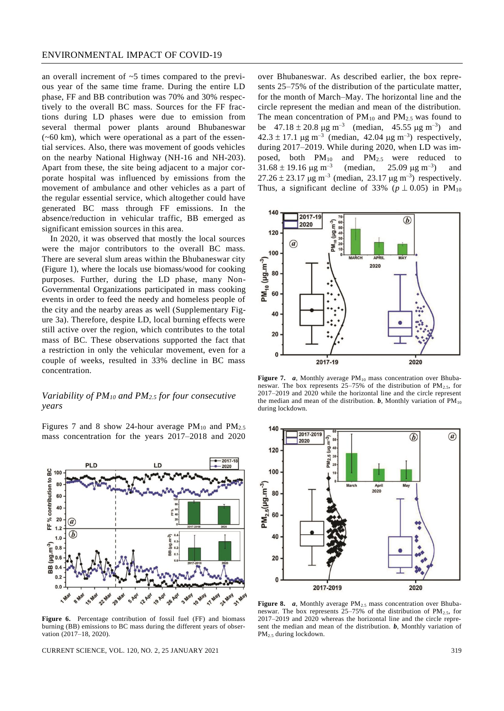an overall increment of ~5 times compared to the previous year of the same time frame. During the entire LD phase, FF and BB contribution was 70% and 30% respectively to the overall BC mass. Sources for the FF fractions during LD phases were due to emission from several thermal power plants around Bhubaneswar  $(-60 \text{ km})$ , which were operational as a part of the essential services. Also, there was movement of goods vehicles on the nearby National Highway (NH-16 and NH-203). Apart from these, the site being adjacent to a major corporate hospital was influenced by emissions from the movement of ambulance and other vehicles as a part of the regular essential service, which altogether could have generated BC mass through FF emissions. In the absence/reduction in vehicular traffic, BB emerged as significant emission sources in this area.

In 2020, it was observed that mostly the local sources were the major contributors to the overall BC mass. There are several slum areas within the Bhubaneswar city (Figure 1), where the locals use biomass/wood for cooking purposes. Further, during the LD phase, many Non-Governmental Organizations participated in mass cooking events in order to feed the needy and homeless people of the city and the nearby areas as well [\(Supplementary Fig](https://www.currentscience.ac.in/Volumes/120/01/0313-suppl.pdf)[ure](https://www.currentscience.ac.in/Volumes/120/01/0313-suppl.pdf) 3a). Therefore, despite LD, local burning effects were still active over the region, which contributes to the total mass of BC. These observations supported the fact that a restriction in only the vehicular movement, even for a couple of weeks, resulted in 33% decline in BC mass concentration.

# *Variability of PM<sup>10</sup> and PM2.5 for four consecutive years*

Figures 7 and 8 show 24-hour average  $PM_{10}$  and  $PM_{2.5}$ mass concentration for the years 2017–2018 and 2020



**Figure 6.** Percentage contribution of fossil fuel (FF) and biomass burning (BB) emissions to BC mass during the different years of observation (2017–18, 2020).

CURRENT SCIENCE, VOL. 120, NO. 2, 25 JANUARY 2021 319

over Bhubaneswar. As described earlier, the box represents 25–75% of the distribution of the particulate matter, for the month of March–May. The horizontal line and the circle represent the median and mean of the distribution. The mean concentration of  $PM_{10}$  and  $PM_{2.5}$  was found to be  $47.18 \pm 20.8 \,\mu g \,\text{m}^{-3}$  (median,  $45.55 \,\mu g \,\text{m}^{-3}$ ) and  $42.3 \pm 17.1 \,\mu g \,\text{m}^{-3}$  (median,  $42.04 \,\mu g \,\text{m}^{-3}$ ) respectively, during 2017–2019. While during 2020, when LD was imposed, both  $PM_{10}$  and  $PM_{2.5}$  were reduced to  $31.68 \pm 19.16$  µg m<sup>-3</sup> (median,  $25.09 \,\mu g \,\text{m}^{-3}$ ) ) and  $27.26 \pm 23.17 \,\mu g \, \text{m}^{-3}$  (median, 23.17  $\mu g \, \text{m}^{-3}$ ) respectively. Thus, a significant decline of 33% ( $p \perp 0.05$ ) in PM<sub>10</sub>



**Figure 7.**  $a$ , Monthly average  $PM_{10}$  mass concentration over Bhubaneswar. The box represents  $25-75%$  of the distribution of PM<sub>2.5</sub>, for 2017–2019 and 2020 while the horizontal line and the circle represent the median and mean of the distribution.  $\boldsymbol{b}$ , Monthly variation of PM<sub>10</sub> during lockdown.



Figure 8. *a*, Monthly average PM<sub>2.5</sub> mass concentration over Bhubaneswar. The box represents  $25-75%$  of the distribution of  $PM_{2.5}$ , for 2017–2019 and 2020 whereas the horizontal line and the circle represent the median and mean of the distribution. *b*, Monthly variation of PM2.5 during lockdown.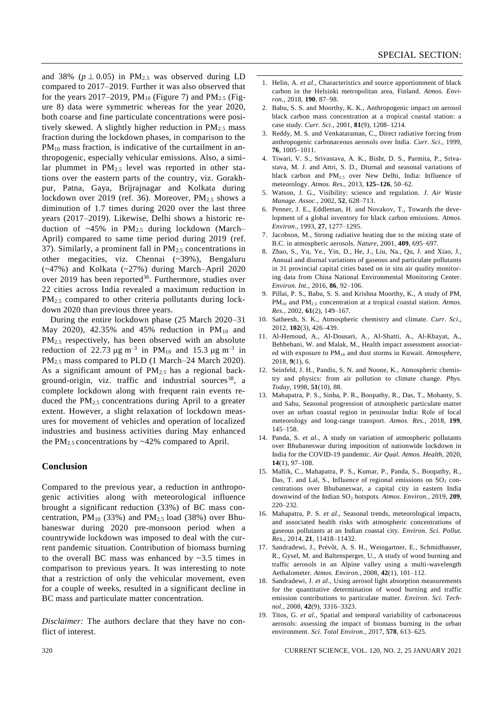and 38% ( $p \perp 0.05$ ) in PM<sub>2.5</sub> was observed during LD compared to 2017–2019. Further it was also observed that for the years 2017–2019, PM<sub>10</sub> (Figure 7) and PM<sub>2.5</sub> (Figure 8) data were symmetric whereas for the year 2020, both coarse and fine particulate concentrations were positively skewed. A slightly higher reduction in  $PM_{2.5}$  mass fraction during the lockdown phases, in comparison to the  $PM_{10}$  mass fraction, is indicative of the curtailment in anthropogenic, especially vehicular emissions. Also, a similar plummet in  $PM_{2.5}$  level was reported in other stations over the eastern parts of the country, viz. Gorakhpur, Patna, Gaya, Brijrajnagar and Kolkata during lockdown over 2019 (ref. 36). Moreover,  $PM_{2.5}$  shows a diminution of 1.7 times during 2020 over the last three years (2017–2019). Likewise, Delhi shows a historic reduction of  $\sim$ 45% in PM<sub>2.5</sub> during lockdown (March– April) compared to same time period during 2019 (ref. 37). Similarly, a prominent fall in  $PM<sub>2.5</sub>$  concentrations in other megacities, viz. Chennai (~39%), Bengaluru (~47%) and Kolkata (~27%) during March–April 2020 over 2019 has been reported<sup>36</sup>. Furthermore, studies over 22 cities across India revealed a maximum reduction in PM<sub>2.5</sub> compared to other criteria pollutants during lockdown 2020 than previous three years.

During the entire lockdown phase (25 March 2020–31 May 2020), 42.35% and 45% reduction in  $PM_{10}$  and PM2.5 respectively, has been observed with an absolute reduction of 22.73  $\mu$ g m<sup>-3</sup> in PM<sub>10</sub> and 15.3  $\mu$ g m<sup>-3</sup> in PM<sub>2.5</sub> mass compared to PLD (1 March–24 March 2020). As a significant amount of  $PM<sub>2.5</sub>$  has a regional background-origin, viz. traffic and industrial sources<sup>38</sup>, a complete lockdown along with frequent rain events reduced the PM2.5 concentrations during April to a greater extent. However, a slight relaxation of lockdown measures for movement of vehicles and operation of localized industries and business activities during May enhanced the  $PM_{2.5}$  concentrations by  $\sim$  42% compared to April.

#### **Conclusion**

Compared to the previous year, a reduction in anthropogenic activities along with meteorological influence brought a significant reduction (33%) of BC mass concentration,  $PM_{10}$  (33%) and  $PM_{2.5}$  load (38%) over Bhubaneswar during 2020 pre-monsoon period when a countrywide lockdown was imposed to deal with the current pandemic situation. Contribution of biomass burning to the overall BC mass was enhanced by  $\sim$ 3.5 times in comparison to previous years. It was interesting to note that a restriction of only the vehicular movement, even for a couple of weeks, resulted in a significant decline in BC mass and particulate matter concentration.

*Disclaimer:* The authors declare that they have no conflict of interest.

- 1. Helin, A. *et al.*, Characteristics and source apportionment of black carbon in the Helsinki metropolitan area, Finland. *Atmos. Environ.*, 2018, **190**, 87–98.
- 2. Babu, S. S. and Moorthy, K. K., Anthropogenic impact on aerosol black carbon mass concentration at a tropical coastal station: a case study. *Curr. Sci*., 2001, **81**(9), 1208–1214.
- 3. Reddy, M. S. and Venkataraman, C., Direct radiative forcing from anthropogenic carbonaceous aerosols over India. *Curr. Sci*., 1999, **76**, 1005–1011.
- 4. Tiwari, V. S., Srivastava, A. K., Bisht, D. S., Parmita, P., Srivastava, M. J. and Attri, S. D., Diurnal and seasonal variations of black carbon and PM2.5 over New Delhi, India: Influence of meteorology. *Atmos. Res.*, 2013, **125–126**, 50–62.
- 5. Watson, J. G., Visibility: science and regulation. *J. Air Waste Manage. Assoc*., 2002, **52**, 628–713.
- 6. Penner, J. E., Eddleman, H. and Novakov, T., Towards the development of a global inventory for black carbon emissions. *Atmos. Environ*., 1993, **27**, 1277–1295.
- 7. Jacobson, M., Strong radiative heating due to the mixing state of B.C. in atmospheric aerosols. *Nature*, 2001, **409**, 695–697.
- 8. Zhao, S., Yu, Ye., Yin, D., He, J., Liu, Na., Qu, J. and Xiao, J., Annual and diurnal variations of gaseous and particulate pollutants in 31 provincial capital cities based on in situ air quality monitoring data from China National Environmental Monitoring Center. *Environ. Int.*, 2016, **86**, 92–106.
- 9. Pillai, P. S., Babu, S. S. and Krishna Moorthy, K., A study of PM, PM<sub>10</sub> and PM<sub>2.5</sub> concentration at a tropical coastal station. Atmos. *Res.*, 2002, **61**(2), 149–167.
- 10. Satheesh, S. K., Atmospheric chemistry and climate. *Curr. Sci.*, 2012, **102**(3), 426–439.
- 11. Al-Hemoud, A., Al-Dousari, A., Al-Shatti, A., Al-Khayat, A., Behbehani, W. and Malak, M., Health impact assessment associated with exposure to PM<sup>10</sup> and dust storms in Kuwait. *Atmosphere*, 2018, **9**(1), 6.
- 12. Seinfeld, J. H., Pandis, S. N. and Noone, K., Atmospheric chemistry and physics: from air pollution to climate change. *Phys. Today*, 1998, **51**(10), 88.
- 13. Mahapatra, P. S., Sinha, P. R., Boopathy, R., Das, T., Mohanty, S. and Sahu, Seasonal progression of atmospheric particulate matter over an urban coastal region in peninsular India: Role of local meteorology and long-range transport. *Atmos. Res.*, 2018, **199**, 145–158.
- 14. Panda, S. *et al*., A study on variation of atmospheric pollutants over Bhubaneswar during imposition of nationwide lockdown in India for the COVID-19 pandemic. *Air Qual. Atmos. Health*, 2020, **14**(1), 97–108.
- 15. Mallik, C., Mahapatra, P. S., Kumar, P., Panda, S., Boopathy, R., Das, T. and Lal, S., Influence of regional emissions on  $SO_2$  concentrations over Bhubaneswar, a capital city in eastern India downwind of the Indian SO<sup>2</sup> hotspots. *Atmos. Environ.*, 2019, **209**, 220–232.
- 16. Mahapatra, P. S. *et al.*, Seasonal trends, meteorological impacts, and associated health risks with atmospheric concentrations of gaseous pollutants at an Indian coastal city. *Environ. Sci. Pollut. Res.*, 2014, **21**, 11418–11432.
- 17. Sandradewi, J., Prévôt, A. S. H., Weingartner, E., Schmidhauser, R., Gysel, M. and Baltensperger, U., A study of wood burning and traffic aerosols in an Alpine valley using a multi-wavelength Aethalometer. *Atmos. Environ.*, 2008, **42**(1), 101–112.
- 18. Sandradewi, J. *et al.*, Using aerosol light absorption measurements for the quantitative determination of wood burning and traffic emission contributions to particulate matter. *Environ. Sci. Technol.*, 2008, **42**(9), 3316–3323.
- 19. Titos, G. *et al.*, Spatial and temporal variability of carbonaceous aerosols: assessing the impact of biomass burning in the urban environment. *Sci. Total Environ.*, 2017, **578**, 613–625.

320 CURRENT SCIENCE, VOL. 120, NO. 2, 25 JANUARY 2021